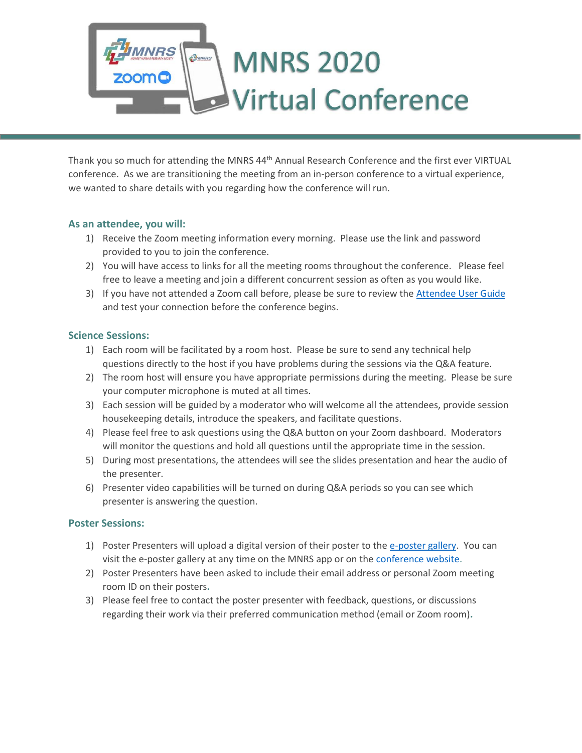# **IRS MNRS 2020 FAMNRS Virtual Conference**

Thank you so much for attending the MNRS 44<sup>th</sup> Annual Research Conference and the first ever VIRTUAL conference. As we are transitioning the meeting from an in-person conference to a virtual experience, we wanted to share details with you regarding how the conference will run.

# **As an attendee, you will:**

- 1) Receive the Zoom meeting information every morning. Please use the link and password provided to you to join the conference.
- 2) You will have access to links for all the meeting rooms throughout the conference. Please feel free to leave a meeting and join a different concurrent session as often as you would like.
- 3) If you have not attended a Zoom call before, please be sure to review the [Attendee User Guide](https://mnrs.org/wp-content/uploads/2020/03/ZOOM-Attendee-User-Guide-and-FAQ.pdf) and test your connection before the conference begins.

# **Science Sessions:**

- 1) Each room will be facilitated by a room host. Please be sure to send any technical help questions directly to the host if you have problems during the sessions via the Q&A feature.
- 2) The room host will ensure you have appropriate permissions during the meeting. Please be sure your computer microphone is muted at all times.
- 3) Each session will be guided by a moderator who will welcome all the attendees, provide session housekeeping details, introduce the speakers, and facilitate questions.
- 4) Please feel free to ask questions using the Q&A button on your Zoom dashboard. Moderators will monitor the questions and hold all questions until the appropriate time in the session.
- 5) During most presentations, the attendees will see the slides presentation and hear the audio of the presenter.
- 6) Presenter video capabilities will be turned on during Q&A periods so you can see which presenter is answering the question.

# **Poster Sessions:**

- 1) Poster Presenters will upload a digital version of their poster to the [e-poster gallery.](https://mnrs.societyconference.com/conf/#present_mat/conf10002) You can visit the e-poster gallery at any time on the MNRS app or on th[e conference website.](https://mnrs.societyconference.com/conf/#sessions/conf10002)
- 2) Poster Presenters have been asked to include their email address or personal Zoom meeting room ID on their posters**.**
- 3) Please feel free to contact the poster presenter with feedback, questions, or discussions regarding their work via their preferred communication method (email or Zoom room)**.**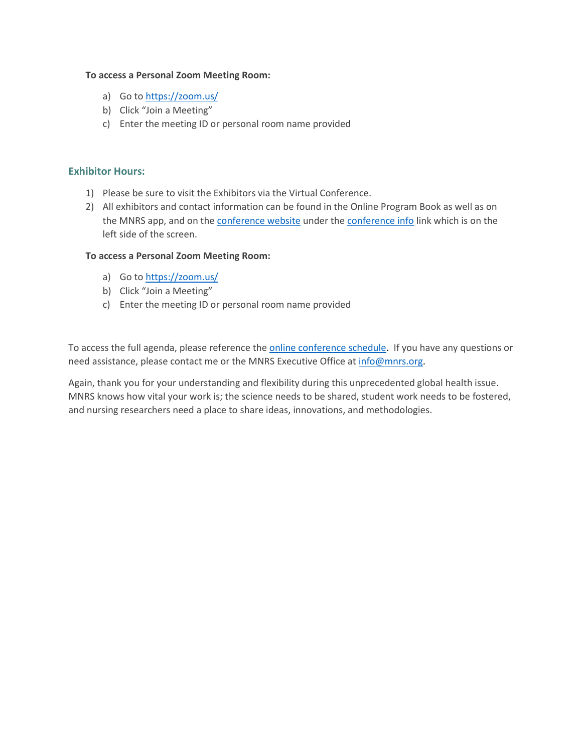#### **To access a Personal Zoom Meeting Room:**

- a) Go to<https://zoom.us/>
- b) Click "Join a Meeting"
- c) Enter the meeting ID or personal room name provided

## **Exhibitor Hours:**

- 1) Please be sure to visit the Exhibitors via the Virtual Conference.
- 2) All exhibitors and contact information can be found in the Online Program Book as well as on the MNRS app, and on the [conference website](https://mnrs.societyconference.com/conf/#sessions/conf10002) under the [conference info](https://mnrs.societyconference.com/conf/#conf_docs/conf10002) link which is on the left side of the screen.

#### **To access a Personal Zoom Meeting Room:**

- a) Go to<https://zoom.us/>
- b) Click "Join a Meeting"
- c) Enter the meeting ID or personal room name provided

To access the full agenda, please reference th[e online conference schedule.](https://mnrs.societyconference.com/conf/#sessions/conf10002) If you have any questions or need assistance, please contact me or the MNRS Executive Office at [info@mnrs.org.](mailto:info@mnrs.org)

Again, thank you for your understanding and flexibility during this unprecedented global health issue. MNRS knows how vital your work is; the science needs to be shared, student work needs to be fostered, and nursing researchers need a place to share ideas, innovations, and methodologies.